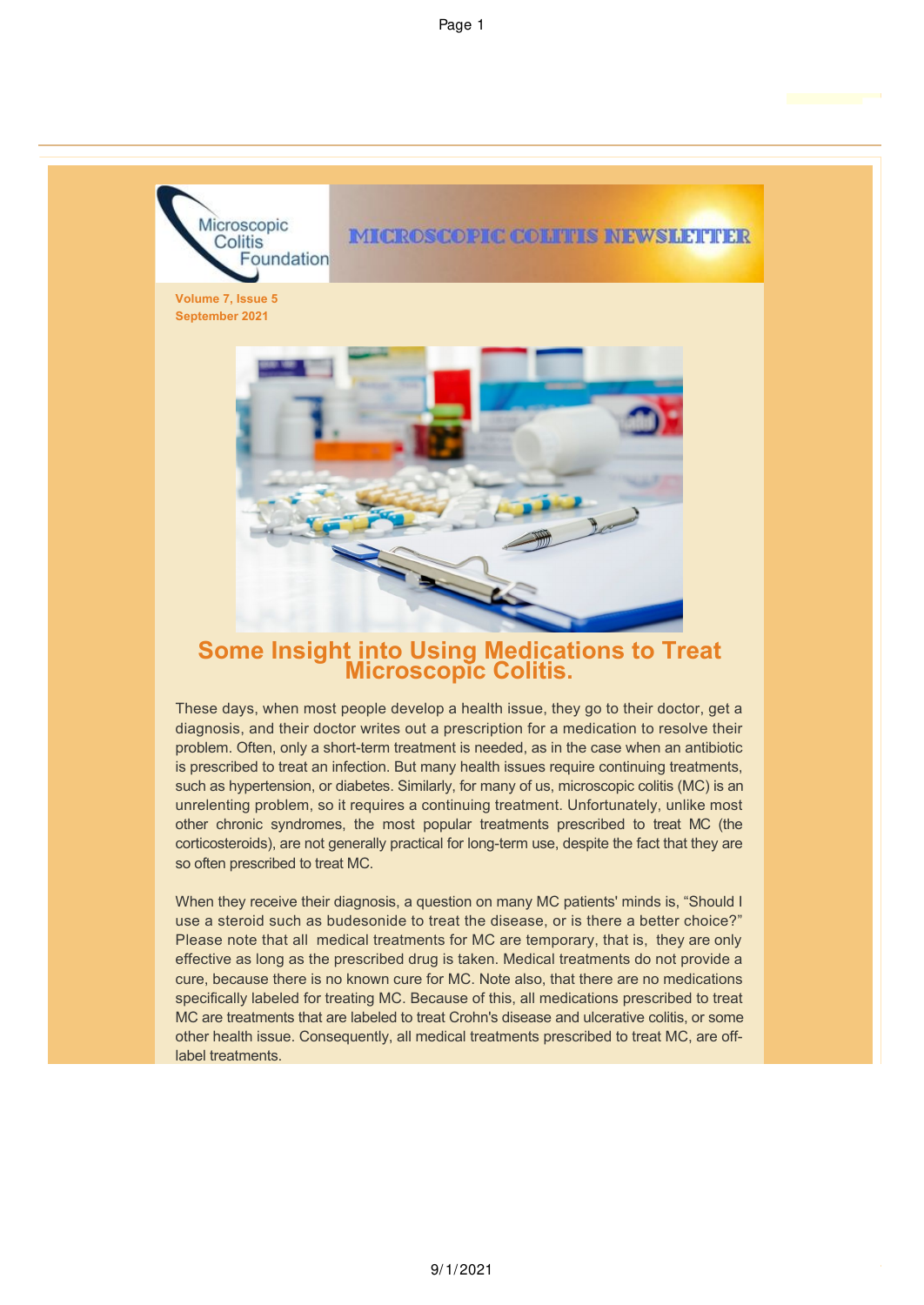

# **Some Insight into Using Medications to Treat Microscopic Colitis.**

These days, when most people develop a health issue, they go to their doctor, get a diagnosis, and their doctor writes out a prescription for a medication to resolve their problem. Often, only a short-term treatment is needed, as in the case when an antibiotic is prescribed to treat an infection. But many health issues require continuing treatments, such as hypertension, or diabetes. Similarly, for many of us, microscopic colitis (MC) is an unrelenting problem, so it requires a continuing treatment. Unfortunately, unlike most other chronic syndromes, the most popular treatments prescribed to treat MC (the corticosteroids), are not generally practical for long-term use, despite the fact that they are so often prescribed to treat MC.

When they receive their diagnosis, a question on many MC patients' minds is, "Should I use a steroid such as budesonide to treat the disease, or is there a better choice?" Please note that all medical treatments for MC are temporary, that is, they are only effective as long as the prescribed drug is taken. Medical treatments do not provide a cure, because there is no known cure for MC. Note also, that there are no medications specifically labeled for treating MC. Because of this, all medications prescribed to treat MC are treatments that are labeled to treat Crohn's disease and ulcerative colitis, or some other health issue. Consequently, all medical treatments prescribed to treat MC, are offlabel treatments.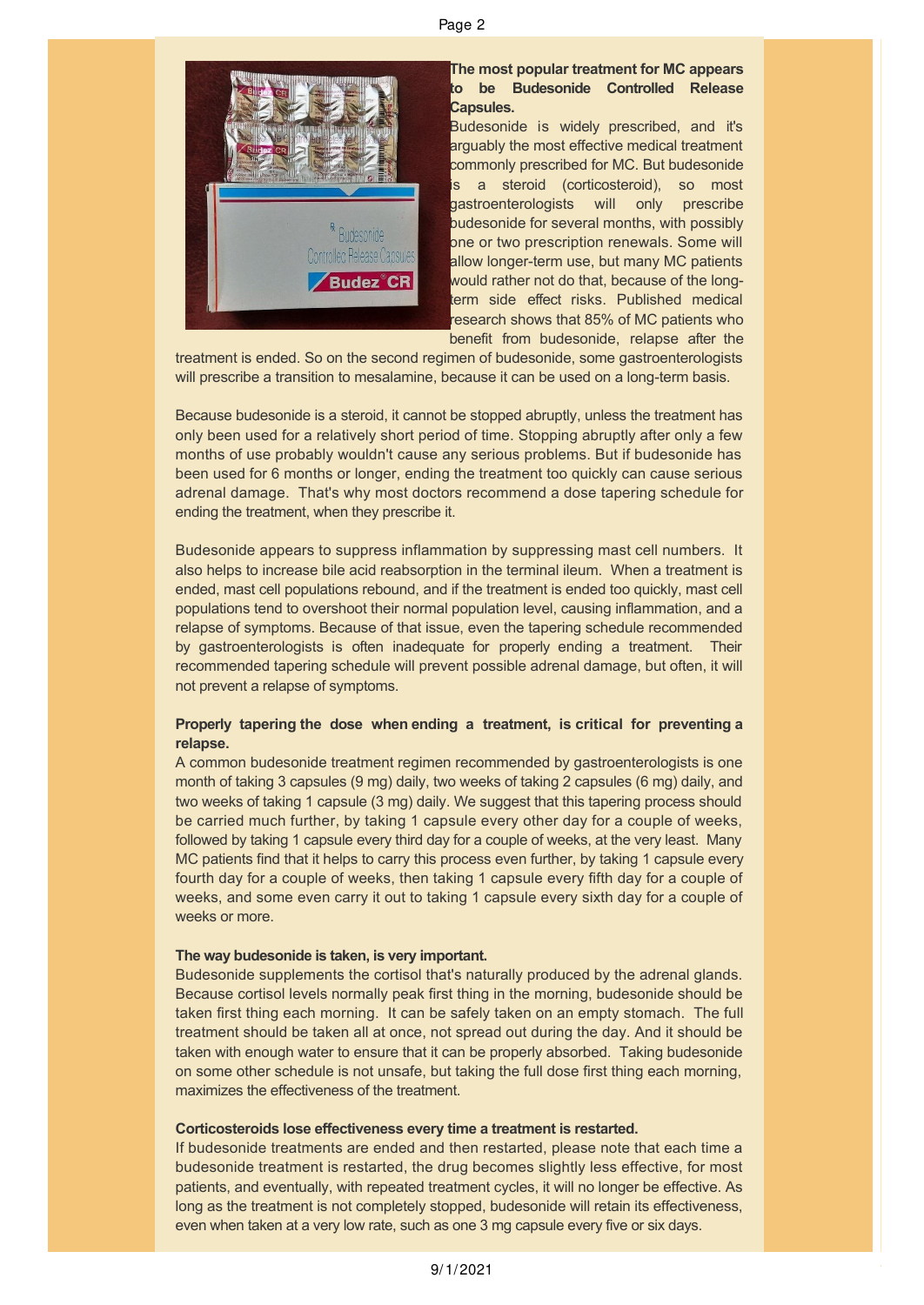

# **The most popular treatment for MC appears to be Budesonide Controlled Release Capsules.**

Budesonide is widely prescribed, and it's arguably the most effective medical treatment commonly prescribed for MC. But budesonide is a steroid (corticosteroid), so most gastroenterologists will only prescribe budesonide for several months, with possibly one or two prescription renewals. Some will allow longer-term use, but many MC patients would rather not do that, because of the longterm side effect risks. Published medical research shows that 85% of MC patients who benefit from budesonide, relapse after the

treatment is ended. So on the second regimen of budesonide, some gastroenterologists will prescribe a transition to mesalamine, because it can be used on a long-term basis.

Because budesonide is a steroid, it cannot be stopped abruptly, unless the treatment has only been used for a relatively short period of time. Stopping abruptly after only a few months of use probably wouldn't cause any serious problems. But if budesonide has been used for 6 months or longer, ending the treatment too quickly can cause serious adrenal damage. That's why most doctors recommend a dose tapering schedule for ending the treatment, when they prescribe it.

Budesonide appears to suppress inflammation by suppressing mast cell numbers. It also helps to increase bile acid reabsorption in the terminal ileum. When a treatment is ended, mast cell populations rebound, and if the treatment is ended too quickly, mast cell populations tend to overshoot their normal population level, causing inflammation, and a relapse of symptoms. Because of that issue, even the tapering schedule recommended by gastroenterologists is often inadequate for properly ending a treatment. Their recommended tapering schedule will prevent possible adrenal damage, but often, it will not prevent a relapse of symptoms.

# **Properly tapering the dose when ending a treatment, is critical for preventing a relapse.**

A common budesonide treatment regimen recommended by gastroenterologists is one month of taking 3 capsules (9 mg) daily, two weeks of taking 2 capsules (6 mg) daily, and two weeks of taking 1 capsule (3 mg) daily. We suggest that this tapering process should be carried much further, by taking 1 capsule every other day for a couple of weeks, followed by taking 1 capsule every third day for a couple of weeks, at the very least. Many MC patients find that it helps to carry this process even further, by taking 1 capsule every fourth day for a couple of weeks, then taking 1 capsule every fifth day for a couple of weeks, and some even carry it out to taking 1 capsule every sixth day for a couple of weeks or more.

### **The way budesonide is taken, is very important.**

Budesonide supplements the cortisol that's naturally produced by the adrenal glands. Because cortisol levels normally peak first thing in the morning, budesonide should be taken first thing each morning. It can be safely taken on an empty stomach. The full treatment should be taken all at once, not spread out during the day. And it should be taken with enough water to ensure that it can be properly absorbed. Taking budesonide on some other schedule is not unsafe, but taking the full dose first thing each morning, maximizes the effectiveness of the treatment.

# **Corticosteroids lose effectiveness every time a treatment is restarted.**

If budesonide treatments are ended and then restarted, please note that each time a budesonide treatment is restarted, the drug becomes slightly less effective, for most patients, and eventually, with repeated treatment cycles, it will no longer be effective. As long as the treatment is not completely stopped, budesonide will retain its effectiveness, even when taken at a very low rate, such as one 3 mg capsule every five or six days.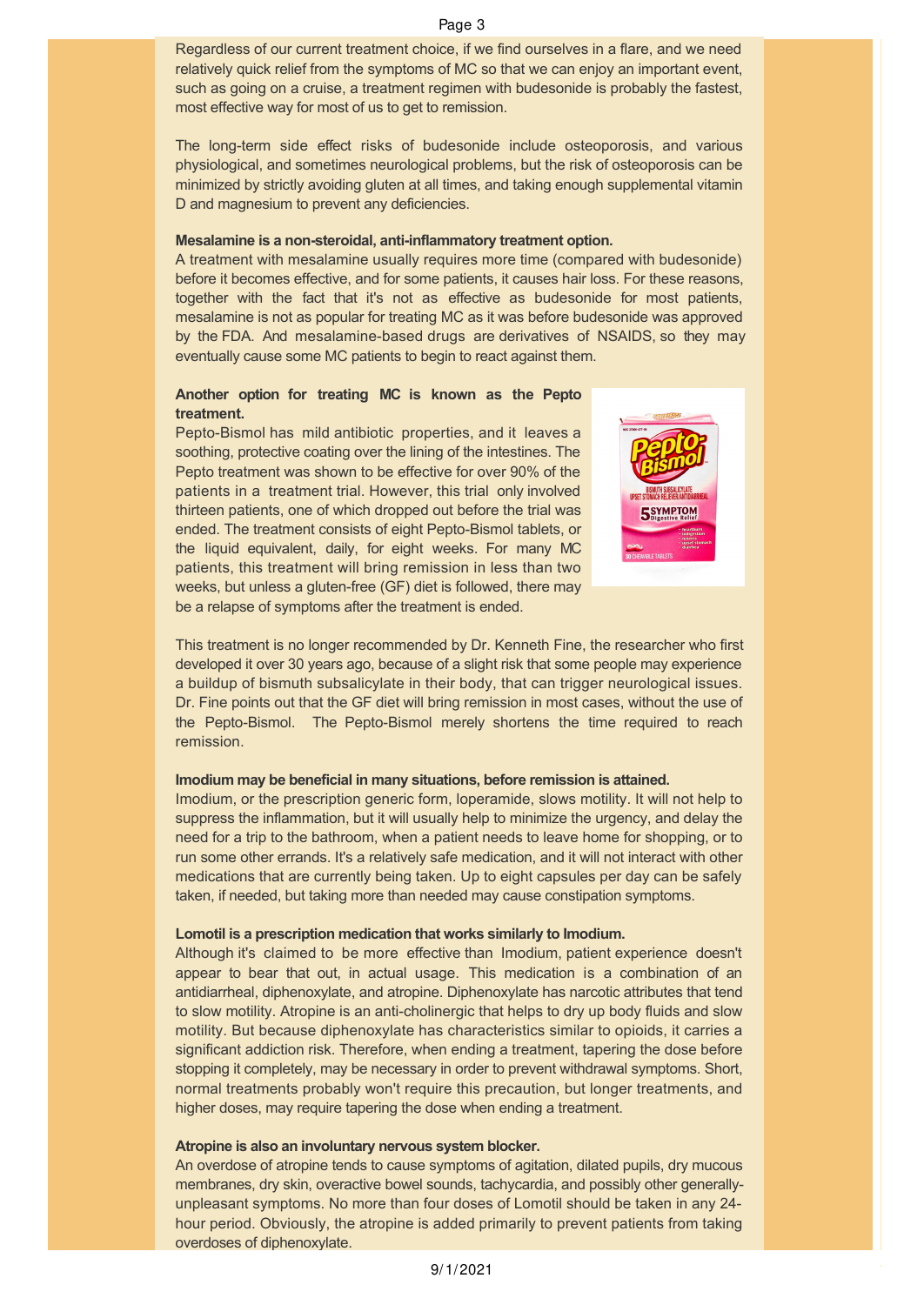Regardless of our current treatment choice, if we find ourselves in a flare, and we need relatively quick relief from the symptoms of MC so that we can enjoy an important event, such as going on a cruise, a treatment regimen with budesonide is probably the fastest, most effective way for most of us to get to remission.

The long-term side effect risks of budesonide include osteoporosis, and various physiological, and sometimes neurological problems, but the risk of osteoporosis can be minimized by strictly avoiding gluten at all times, and taking enough supplemental vitamin D and magnesium to prevent any deficiencies.

#### **Mesalamine is a non-steroidal, anti-inflammatory treatment option.**

A treatment with mesalamine usually requires more time (compared with budesonide) before it becomes effective, and for some patients, it causes hair loss. For these reasons, together with the fact that it's not as effective as budesonide for most patients, mesalamine is not as popular for treating MC as it was before budesonide was approved by the FDA. And mesalamine-based drugs are derivatives of NSAIDS, so they may eventually cause some MC patients to begin to react against them.

# **Another option for treating MC is known as the Pepto treatment.**

Pepto-Bismol has mild antibiotic properties, and it leaves a soothing, protective coating over the lining of the intestines. The Pepto treatment was shown to be effective for over 90% of the patients in a treatment trial. However, this trial only involved thirteen patients, one of which dropped out before the trial was ended. The treatment consists of eight Pepto-Bismol tablets, or the liquid equivalent, daily, for eight weeks. For many MC patients, this treatment will bring remission in less than two weeks, but unless a gluten-free (GF) diet is followed, there may be a relapse of symptoms after the treatment is ended.



This treatment is no longer recommended by Dr. Kenneth Fine, the researcher who first developed it over 30 years ago, because of a slight risk that some people may experience a buildup of bismuth subsalicylate in their body, that can trigger neurological issues. Dr. Fine points out that the GF diet will bring remission in most cases, without the use of the Pepto-Bismol. The Pepto-Bismol merely shortens the time required to reach remission.

### **Imodium may be beneficial in many situations, before remission is attained.**

Imodium, or the prescription generic form, loperamide, slows motility. It will not help to suppress the inflammation, but it will usually help to minimize the urgency, and delay the need for a trip to the bathroom, when a patient needs to leave home for shopping, or to run some other errands. It's a relatively safe medication, and it will not interact with other medications that are currently being taken. Up to eight capsules per day can be safely taken, if needed, but taking more than needed may cause constipation symptoms.

### **Lomotil is a prescription medication that works similarly to Imodium.**

Although it's claimed to be more effective than Imodium, patient experience doesn't appear to bear that out, in actual usage. This medication is a combination of an antidiarrheal, diphenoxylate, and atropine. Diphenoxylate has narcotic attributes that tend to slow motility. Atropine is an anti-cholinergic that helps to dry up body fluids and slow motility. But because diphenoxylate has characteristics similar to opioids, it carries a significant addiction risk. Therefore, when ending a treatment, tapering the dose before stopping it completely, may be necessary in order to prevent withdrawal symptoms. Short, normal treatments probably won't require this precaution, but longer treatments, and higher doses, may require tapering the dose when ending a treatment.

## **Atropine is also an involuntary nervous system blocker.**

An overdose of atropine tends to cause symptoms of agitation, dilated pupils, dry mucous membranes, dry skin, overactive bowel sounds, tachycardia, and possibly other generallyunpleasant symptoms. No more than four doses of Lomotil should be taken in any 24 hour period. Obviously, the atropine is added primarily to prevent patients from taking overdoses of diphenoxylate.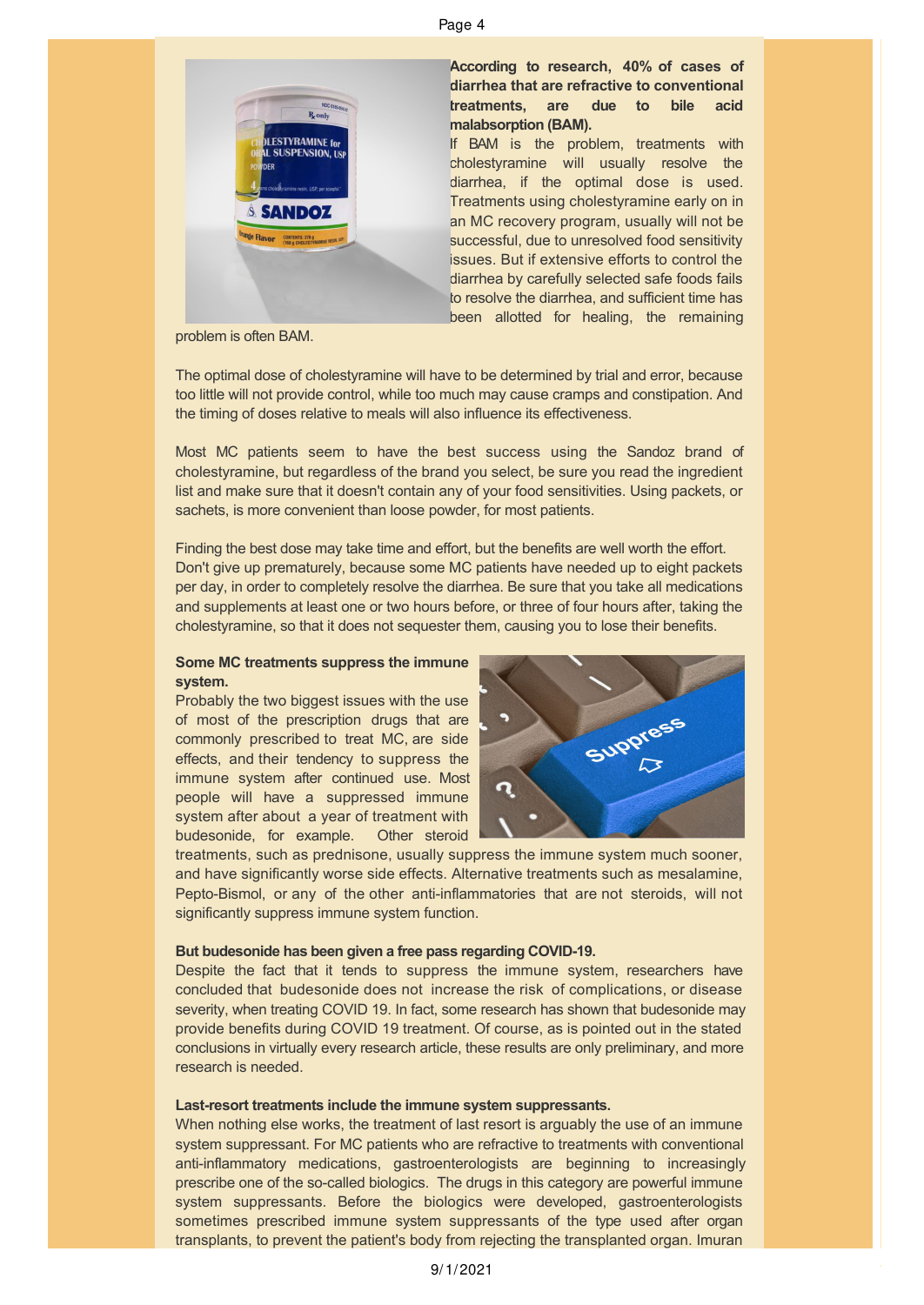#### Page 4



problem is often BAM.

The optimal dose of cholestyramine will have to be determined by trial and error, because too little will not provide control, while too much may cause cramps and constipation. And the timing of doses relative to meals will also influence its effectiveness.

Most MC patients seem to have the best success using the Sandoz brand of cholestyramine, but regardless of the brand you select, be sure you read the ingredient list and make sure that it doesn't contain any of your food sensitivities. Using packets, or sachets, is more convenient than loose powder, for most patients.

Finding the best dose may take time and effort, but the benefits are well worth the effort. Don't give up prematurely, because some MC patients have needed up to eight packets per day, in order to completely resolve the diarrhea. Be sure that you take all medications and supplements at least one or two hours before, or three of four hours after, taking the cholestyramine, so that it does not sequester them, causing you to lose their benefits.

# **Some MC treatments suppress the immune system.**

Probably the two biggest issues with the use of most of the prescription drugs that are commonly prescribed to treat MC, are side effects, and their tendency to suppress the immune system after continued use. Most people will have a suppressed immune system after about a year of treatment with budesonide, for example. Other steroid



treatments, such as prednisone, usually suppress the immune system much sooner, and have significantly worse side effects. Alternative treatments such as mesalamine, Pepto-Bismol, or any of the other anti-inflammatories that are not steroids, will not significantly suppress immune system function.

#### **But budesonide has been given a free pass regarding COVID-19.**

Despite the fact that it tends to suppress the immune system, researchers have concluded that budesonide does not increase the risk of complications, or disease severity, when treating COVID 19. In fact, some research has shown that budesonide may provide benefits during COVID 19 treatment. Of course, as is pointed out in the stated conclusions in virtually every research article, these results are only preliminary, and more research is needed.

### **Last-resort treatments include the immune system suppressants.**

When nothing else works, the treatment of last resort is arguably the use of an immune system suppressant. For MC patients who are refractive to treatments with conventional anti-inflammatory medications, gastroenterologists are beginning to increasingly prescribe one of the so-called biologics. The drugs in this category are powerful immune system suppressants. Before the biologics were developed, gastroenterologists sometimes prescribed immune system suppressants of the type used after organ transplants, to prevent the patient's body from rejecting the transplanted organ. Imuran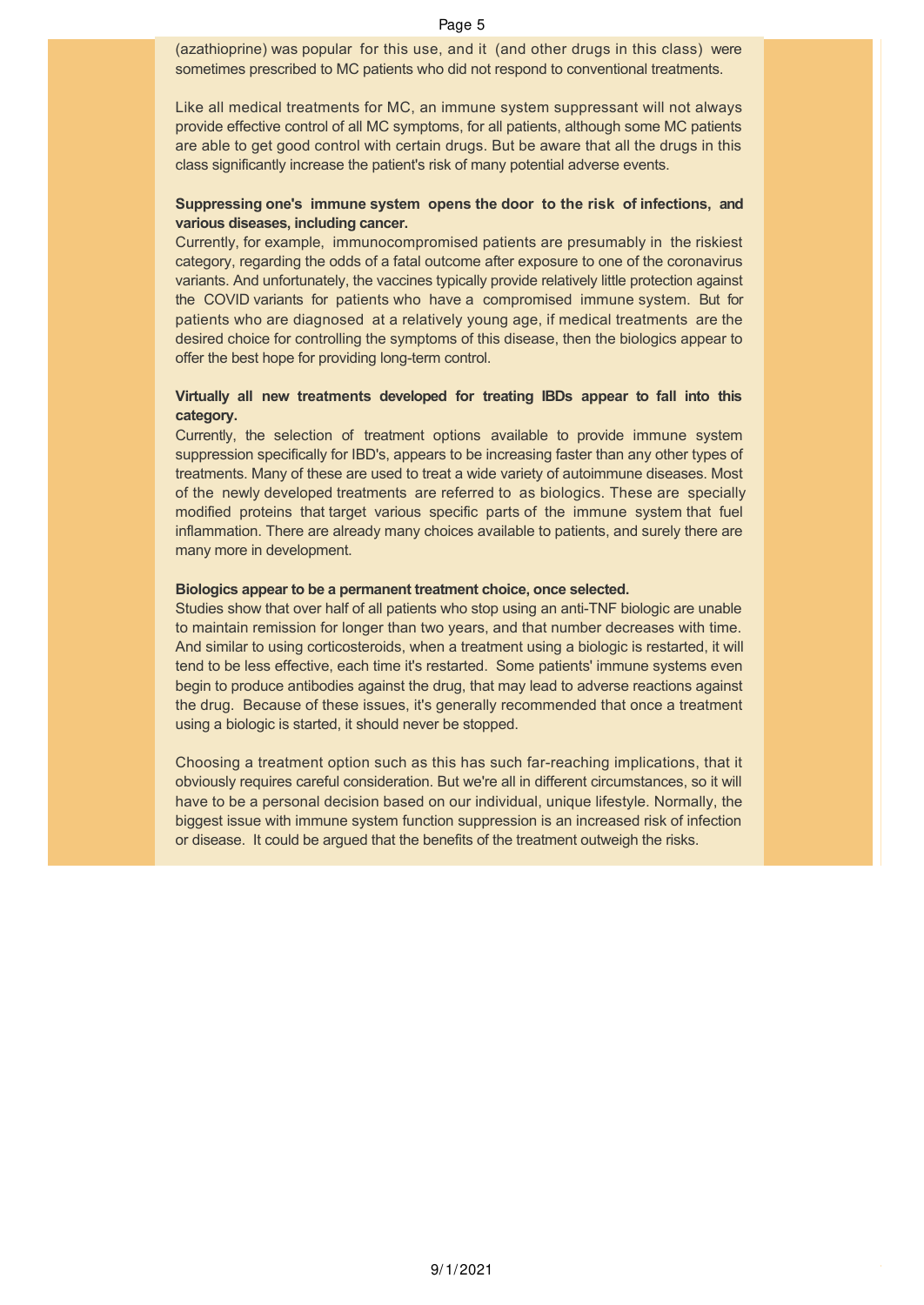(azathioprine) was popular for this use, and it (and other drugs in this class) were sometimes prescribed to MC patients who did not respond to conventional treatments.

Like all medical treatments for MC, an immune system suppressant will not always provide effective control of all MC symptoms, for all patients, although some MC patients are able to get good control with certain drugs. But be aware that all the drugs in this class significantly increase the patient's risk of many potential adverse events.

# **Suppressing one's immune system opens the door to the risk of infections, and various diseases, including cancer.**

Currently, for example, immunocompromised patients are presumably in the riskiest category, regarding the odds of a fatal outcome after exposure to one of the coronavirus variants. And unfortunately, the vaccines typically provide relatively little protection against the COVID variants for patients who have a compromised immune system. But for patients who are diagnosed at a relatively young age, if medical treatments are the desired choice for controlling the symptoms of this disease, then the biologics appear to offer the best hope for providing long-term control.

# **Virtually all new treatments developed for treating IBDs appear to fall into this category.**

Currently, the selection of treatment options available to provide immune system suppression specifically for IBD's, appears to be increasing faster than any other types of treatments. Many of these are used to treat a wide variety of autoimmune diseases. Most of the newly developed treatments are referred to as biologics. These are specially modified proteins that target various specific parts of the immune system that fuel inflammation. There are already many choices available to patients, and surely there are many more in development.

# **Biologics appear to be a permanent treatment choice, once selected.**

Studies show that over half of all patients who stop using an anti-TNF biologic are unable to maintain remission for longer than two years, and that number decreases with time. And similar to using corticosteroids, when a treatment using a biologic is restarted, it will tend to be less effective, each time it's restarted. Some patients' immune systems even begin to produce antibodies against the drug, that may lead to adverse reactions against the drug. Because of these issues, it's generally recommended that once a treatment using a biologic is started, it should never be stopped.

Choosing a treatment option such as this has such far-reaching implications, that it obviously requires careful consideration. But we're all in different circumstances, so it will have to be a personal decision based on our individual, unique lifestyle. Normally, the biggest issue with immune system function suppression is an increased risk of infection or disease. It could be argued that the benefits of the treatment outweigh the risks.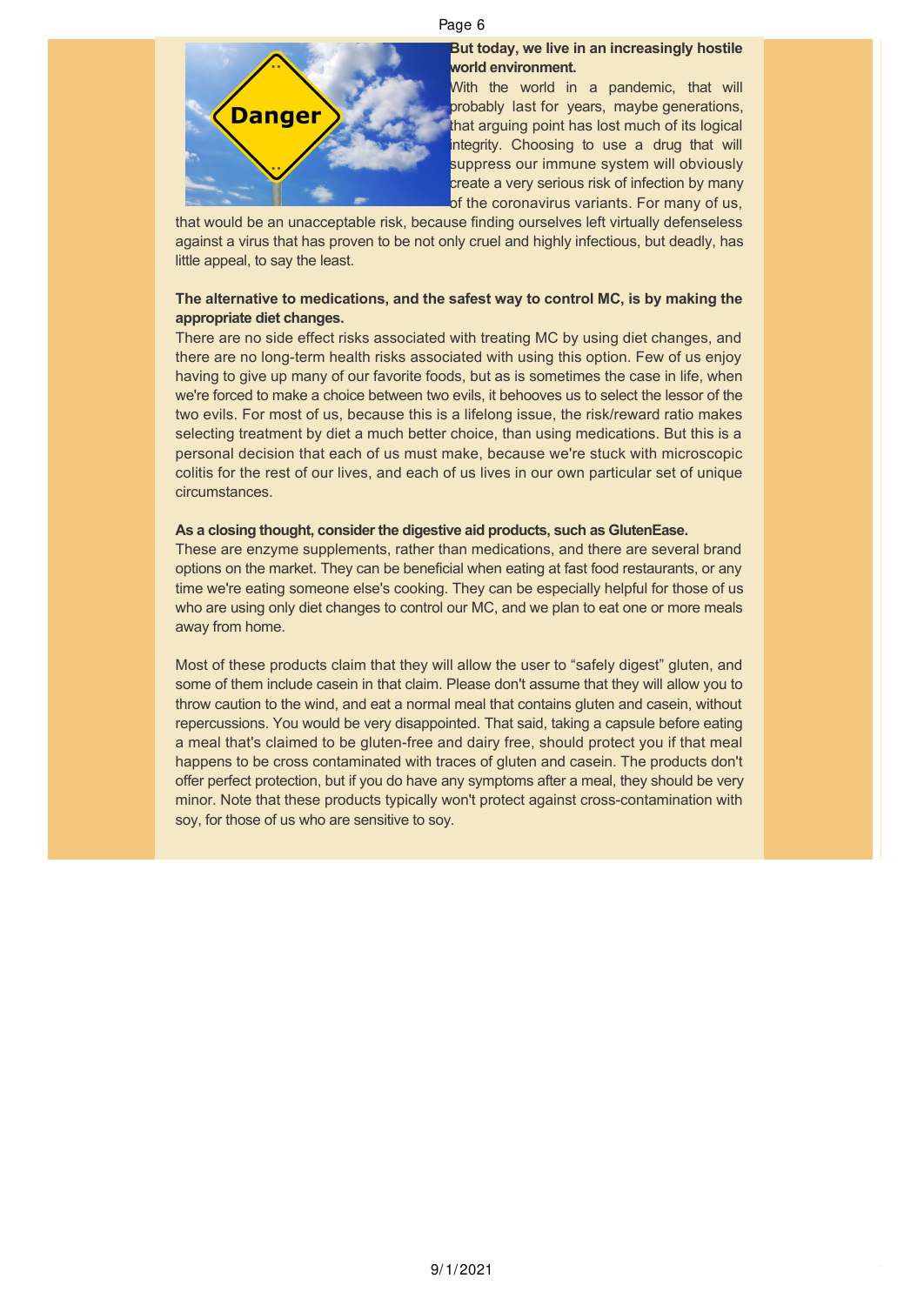### Page 6



# **But today, we live in an increasingly hostile world environment.**

With the world in a pandemic, that will probably last for years, maybe generations, that arguing point has lost much of its logical integrity. Choosing to use a drug that will suppress our immune system will obviously create a very serious risk of infection by many of the coronavirus variants. For many of us,

that would be an unacceptable risk, because finding ourselves left virtually defenseless against a virus that has proven to be not only cruel and highly infectious, but deadly, has little appeal, to say the least.

# **The alternative to medications, and the safest way to control MC, is by making the appropriate diet changes.**

There are no side effect risks associated with treating MC by using diet changes, and there are no long-term health risks associated with using this option. Few of us enjoy having to give up many of our favorite foods, but as is sometimes the case in life, when we're forced to make a choice between two evils, it behooves us to select the lessor of the two evils. For most of us, because this is a lifelong issue, the risk/reward ratio makes selecting treatment by diet a much better choice, than using medications. But this is a personal decision that each of us must make, because we're stuck with microscopic colitis for the rest of our lives, and each of us lives in our own particular set of unique circumstances.

# **As a closing thought, consider the digestive aid products, such as GlutenEase.**

These are enzyme supplements, rather than medications, and there are several brand options on the market. They can be beneficial when eating at fast food restaurants, or any time we're eating someone else's cooking. They can be especially helpful for those of us who are using only diet changes to control our MC, and we plan to eat one or more meals away from home.

Most of these products claim that they will allow the user to "safely digest" gluten, and some of them include casein in that claim. Please don't assume that they will allow you to throw caution to the wind, and eat a normal meal that contains gluten and casein, without repercussions. You would be very disappointed. That said, taking a capsule before eating a meal that's claimed to be gluten-free and dairy free, should protect you if that meal happens to be cross contaminated with traces of gluten and casein. The products don't offer perfect protection, but if you do have any symptoms after a meal, they should be very minor. Note that these products typically won't protect against cross-contamination with soy, for those of us who are sensitive to soy.